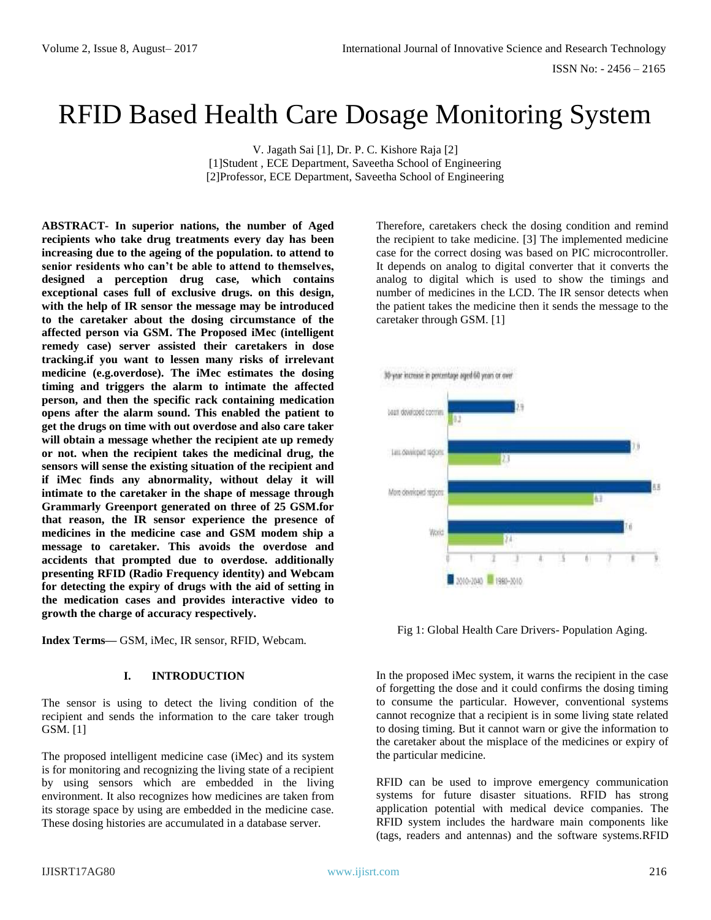# RFID Based Health Care Dosage Monitoring System

V. Jagath Sai [1], Dr. P. C. Kishore Raja [2] [1]Student , ECE Department, Saveetha School of Engineering [2]Professor, ECE Department, Saveetha School of Engineering

**ABSTRACT- In superior nations, the number of Aged recipients who take drug treatments every day has been increasing due to the ageing of the population. to attend to senior residents who can't be able to attend to themselves, designed a perception drug case, which contains exceptional cases full of exclusive drugs. on this design, with the help of IR sensor the message may be introduced to the caretaker about the dosing circumstance of the affected person via GSM. The Proposed iMec (intelligent remedy case) server assisted their caretakers in dose tracking.if you want to lessen many risks of irrelevant medicine (e.g.overdose). The iMec estimates the dosing timing and triggers the alarm to intimate the affected person, and then the specific rack containing medication opens after the alarm sound. This enabled the patient to get the drugs on time with out overdose and also care taker will obtain a message whether the recipient ate up remedy or not. when the recipient takes the medicinal drug, the sensors will sense the existing situation of the recipient and if iMec finds any abnormality, without delay it will intimate to the caretaker in the shape of message through Grammarly Greenport generated on three of 25 GSM.for that reason, the IR sensor experience the presence of medicines in the medicine case and GSM modem ship a message to caretaker. This avoids the overdose and accidents that prompted due to overdose. additionally presenting RFID (Radio Frequency identity) and Webcam for detecting the expiry of drugs with the aid of setting in the medication cases and provides interactive video to growth the charge of accuracy respectively.** 

**Index Terms—** GSM, iMec, IR sensor, RFID, Webcam.

#### **I. INTRODUCTION**

The sensor is using to detect the living condition of the recipient and sends the information to the care taker trough GSM. [1]

The proposed intelligent medicine case (iMec) and its system is for monitoring and recognizing the living state of a recipient by using sensors which are embedded in the living environment. It also recognizes how medicines are taken from its storage space by using are embedded in the medicine case. These dosing histories are accumulated in a database server.

Therefore, caretakers check the dosing condition and remind the recipient to take medicine. [3] The implemented medicine case for the correct dosing was based on PIC microcontroller. It depends on analog to digital converter that it converts the analog to digital which is used to show the timings and number of medicines in the LCD. The IR sensor detects when the patient takes the medicine then it sends the message to the caretaker through GSM. [1]



Fig 1: Global Health Care Drivers- Population Aging.

In the proposed iMec system, it warns the recipient in the case of forgetting the dose and it could confirms the dosing timing to consume the particular. However, conventional systems cannot recognize that a recipient is in some living state related to dosing timing. But it cannot warn or give the information to the caretaker about the misplace of the medicines or expiry of the particular medicine.

RFID can be used to improve emergency communication systems for future disaster situations. RFID has strong application potential with medical device companies. The RFID system includes the hardware main components like (tags, readers and antennas) and the software systems.RFID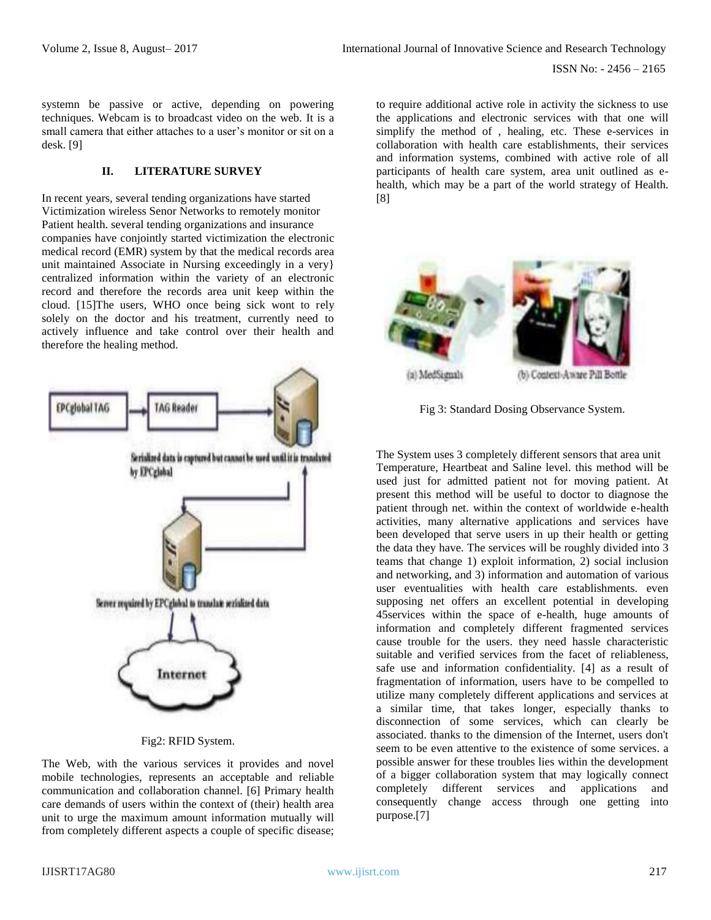systemn be passive or active, depending on powering techniques. Webcam is to broadcast video on the web. It is a small camera that either attaches to a user's monitor or sit on a desk. [9]

#### **II. LITERATURE SURVEY**

In recent years, several tending organizations have started Victimization wireless Senor Networks to remotely monitor Patient health. several tending organizations and insurance companies have conjointly started victimization the electronic medical record (EMR) system by that the medical records area unit maintained Associate in Nursing exceedingly in a very} centralized information within the variety of an electronic record and therefore the records area unit keep within the cloud. [15]The users, WHO once being sick wont to rely solely on the doctor and his treatment, currently need to actively influence and take control over their health and therefore the healing method.



Fig2: RFID System.

The Web, with the various services it provides and novel mobile technologies, represents an acceptable and reliable communication and collaboration channel. [6] Primary health care demands of users within the context of (their) health area unit to urge the maximum amount information mutually will from completely different aspects a couple of specific disease;

to require additional active role in activity the sickness to use the applications and electronic services with that one will simplify the method of , healing, etc. These e-services in collaboration with health care establishments, their services and information systems, combined with active role of all participants of health care system, area unit outlined as ehealth, which may be a part of the world strategy of Health. [8]



(a) MedSignals

(b) Context-Aware Pill Bottle

Fig 3: Standard Dosing Observance System.

The System uses 3 completely different sensors that area unit Temperature, Heartbeat and Saline level. this method will be used just for admitted patient not for moving patient. At present this method will be useful to doctor to diagnose the patient through net. within the context of worldwide e-health activities, many alternative applications and services have been developed that serve users in up their health or getting the data they have. The services will be roughly divided into 3 teams that change 1) exploit information, 2) social inclusion and networking, and 3) information and automation of various user eventualities with health care establishments. even supposing net offers an excellent potential in developing 45services within the space of e-health, huge amounts of information and completely different fragmented services cause trouble for the users. they need hassle characteristic suitable and verified services from the facet of reliableness, safe use and information confidentiality. [4] as a result of fragmentation of information, users have to be compelled to utilize many completely different applications and services at a similar time, that takes longer, especially thanks to disconnection of some services, which can clearly be associated. thanks to the dimension of the Internet, users don't seem to be even attentive to the existence of some services. a possible answer for these troubles lies within the development of a bigger collaboration system that may logically connect completely different services and applications and consequently change access through one getting into purpose.[7]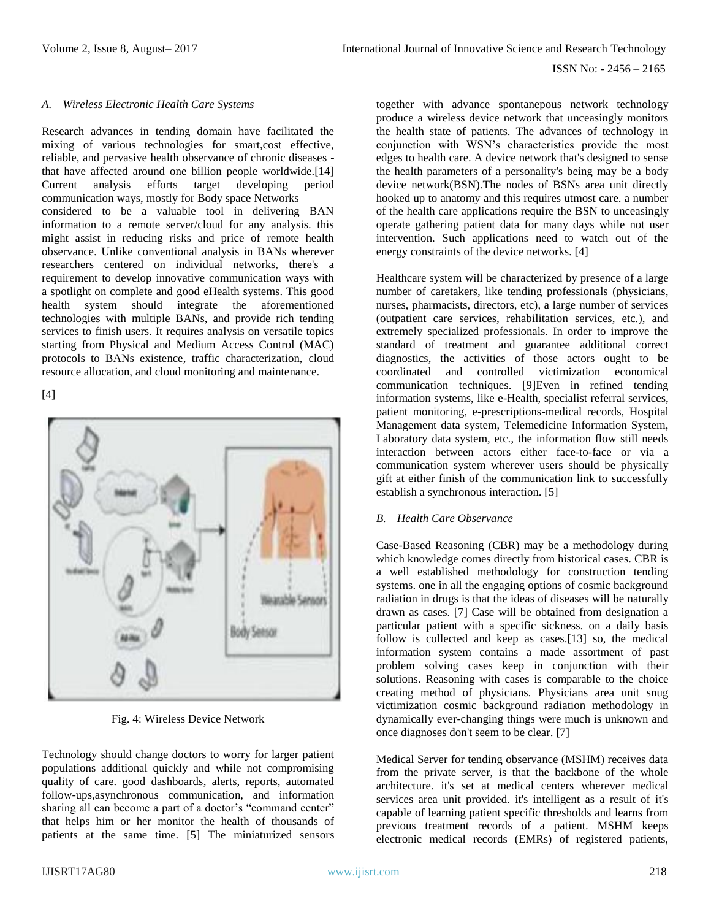## *A. Wireless Electronic Health Care Systems*

Research advances in tending domain have facilitated the mixing of various technologies for smart,cost effective, reliable, and pervasive health observance of chronic diseases that have affected around one billion people worldwide.[14] Current analysis efforts target developing period communication ways, mostly for Body space Networks considered to be a valuable tool in delivering BAN information to a remote server/cloud for any analysis. this might assist in reducing risks and price of remote health observance. Unlike conventional analysis in BANs wherever researchers centered on individual networks, there's a requirement to develop innovative communication ways with a spotlight on complete and good eHealth systems. This good health system should integrate the aforementioned technologies with multiple BANs, and provide rich tending services to finish users. It requires analysis on versatile topics starting from Physical and Medium Access Control (MAC) protocols to BANs existence, traffic characterization, cloud resource allocation, and cloud monitoring and maintenance.

[4]



Fig. 4: Wireless Device Network

Technology should change doctors to worry for larger patient populations additional quickly and while not compromising quality of care. good dashboards, alerts, reports, automated follow-ups,asynchronous communication, and information sharing all can become a part of a doctor's "command center" that helps him or her monitor the health of thousands of patients at the same time. [5] The miniaturized sensors

together with advance spontanepous network technology produce a wireless device network that unceasingly monitors the health state of patients. The advances of technology in conjunction with WSN's characteristics provide the most edges to health care. A device network that's designed to sense the health parameters of a personality's being may be a body device network(BSN).The nodes of BSNs area unit directly hooked up to anatomy and this requires utmost care. a number of the health care applications require the BSN to unceasingly operate gathering patient data for many days while not user intervention. Such applications need to watch out of the energy constraints of the device networks. [4]

Healthcare system will be characterized by presence of a large number of caretakers, like tending professionals (physicians, nurses, pharmacists, directors, etc), a large number of services (outpatient care services, rehabilitation services, etc.), and extremely specialized professionals. In order to improve the standard of treatment and guarantee additional correct diagnostics, the activities of those actors ought to be coordinated and controlled victimization economical communication techniques. [9]Even in refined tending information systems, like e-Health, specialist referral services, patient monitoring, e-prescriptions-medical records, Hospital Management data system, Telemedicine Information System, Laboratory data system, etc., the information flow still needs interaction between actors either face-to-face or via a communication system wherever users should be physically gift at either finish of the communication link to successfully establish a synchronous interaction. [5]

# *B. Health Care Observance*

Case-Based Reasoning (CBR) may be a methodology during which knowledge comes directly from historical cases. CBR is a well established methodology for construction tending systems. one in all the engaging options of cosmic background radiation in drugs is that the ideas of diseases will be naturally drawn as cases. [7] Case will be obtained from designation a particular patient with a specific sickness. on a daily basis follow is collected and keep as cases.[13] so, the medical information system contains a made assortment of past problem solving cases keep in conjunction with their solutions. Reasoning with cases is comparable to the choice creating method of physicians. Physicians area unit snug victimization cosmic background radiation methodology in dynamically ever-changing things were much is unknown and once diagnoses don't seem to be clear. [7]

Medical Server for tending observance (MSHM) receives data from the private server, is that the backbone of the whole architecture. it's set at medical centers wherever medical services area unit provided. it's intelligent as a result of it's capable of learning patient specific thresholds and learns from previous treatment records of a patient. MSHM keeps electronic medical records (EMRs) of registered patients,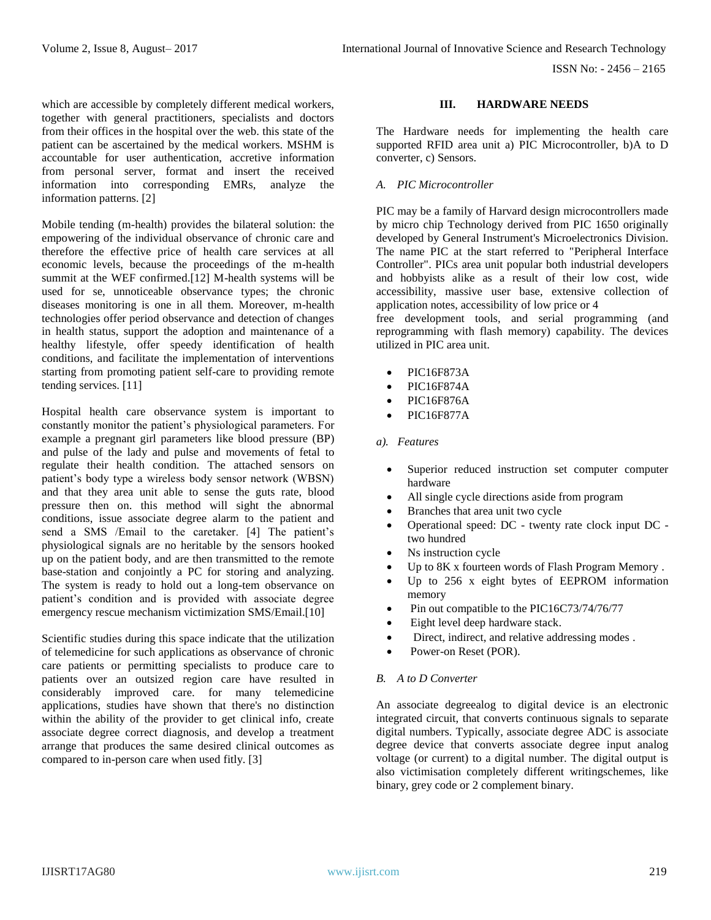which are accessible by completely different medical workers, together with general practitioners, specialists and doctors from their offices in the hospital over the web. this state of the patient can be ascertained by the medical workers. MSHM is accountable for user authentication, accretive information from personal server, format and insert the received information into corresponding EMRs, analyze the information patterns. [2]

Mobile tending (m-health) provides the bilateral solution: the empowering of the individual observance of chronic care and therefore the effective price of health care services at all economic levels, because the proceedings of the m-health summit at the WEF confirmed.[12] M-health systems will be used for se, unnoticeable observance types; the chronic diseases monitoring is one in all them. Moreover, m-health technologies offer period observance and detection of changes in health status, support the adoption and maintenance of a healthy lifestyle, offer speedy identification of health conditions, and facilitate the implementation of interventions starting from promoting patient self-care to providing remote tending services. [11]

Hospital health care observance system is important to constantly monitor the patient's physiological parameters. For example a pregnant girl parameters like blood pressure (BP) and pulse of the lady and pulse and movements of fetal to regulate their health condition. The attached sensors on patient's body type a wireless body sensor network (WBSN) and that they area unit able to sense the guts rate, blood pressure then on. this method will sight the abnormal conditions, issue associate degree alarm to the patient and send a SMS /Email to the caretaker. [4] The patient's physiological signals are no heritable by the sensors hooked up on the patient body, and are then transmitted to the remote base-station and conjointly a PC for storing and analyzing. The system is ready to hold out a long-tem observance on patient's condition and is provided with associate degree emergency rescue mechanism victimization SMS/Email.[10]

Scientific studies during this space indicate that the utilization of telemedicine for such applications as observance of chronic care patients or permitting specialists to produce care to patients over an outsized region care have resulted in considerably improved care. for many telemedicine applications, studies have shown that there's no distinction within the ability of the provider to get clinical info, create associate degree correct diagnosis, and develop a treatment arrange that produces the same desired clinical outcomes as compared to in-person care when used fitly. [3]

## **III. HARDWARE NEEDS**

The Hardware needs for implementing the health care supported RFID area unit a) PIC Microcontroller, b)A to D converter, c) Sensors.

## *A. PIC Microcontroller*

PIC may be a family of Harvard design microcontrollers made by micro chip Technology derived from PIC 1650 originally developed by General Instrument's Microelectronics Division. The name PIC at the start referred to "Peripheral Interface Controller". PICs area unit popular both industrial developers and hobbyists alike as a result of their low cost, wide accessibility, massive user base, extensive collection of application notes, accessibility of low price or 4

free development tools, and serial programming (and reprogramming with flash memory) capability. The devices utilized in PIC area unit.

- PIC16F873A
- PIC16F874A
- PIC16F876A
- PIC16F877A

## *a). Features*

- Superior reduced instruction set computer computer hardware
- All single cycle directions aside from program
- Branches that area unit two cycle
- Operational speed: DC twenty rate clock input DC two hundred
- Ns instruction cycle
- Up to 8K x fourteen words of Flash Program Memory.
- Up to 256 x eight bytes of EEPROM information memory
- Pin out compatible to the PIC16C73/74/76/77
- Eight level deep hardware stack.
- Direct, indirect, and relative addressing modes.
- Power-on Reset (POR).

# *B. A to D Converter*

An associate degreealog to digital device is an electronic integrated circuit, that converts continuous signals to separate digital numbers. Typically, associate degree ADC is associate degree device that converts associate degree input analog voltage (or current) to a digital number. The digital output is also victimisation completely different writingschemes, like binary, grey code or 2 complement binary.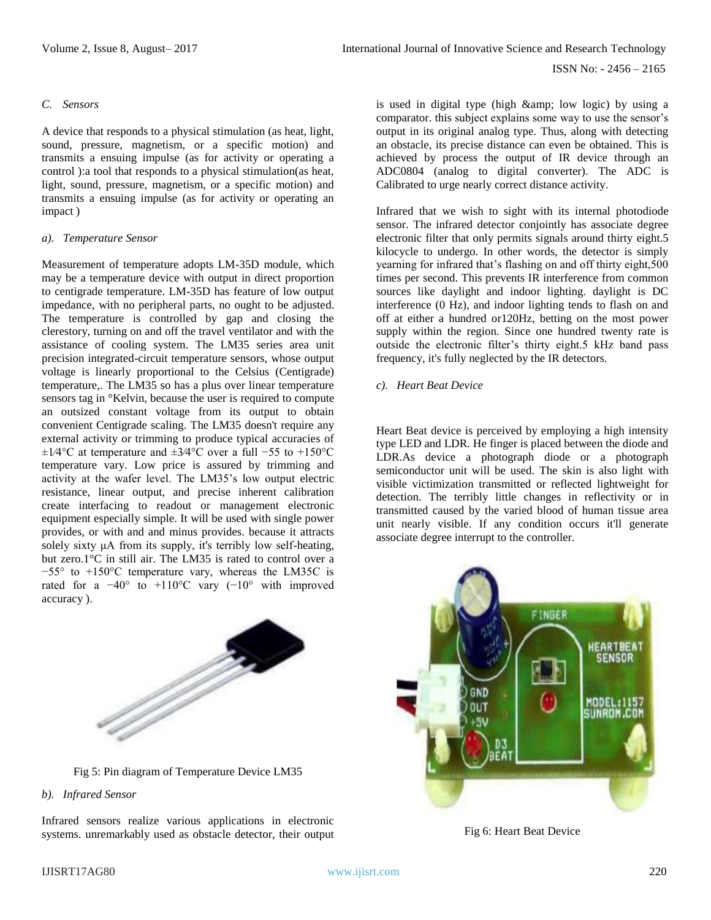#### *C. Sensors*

A device that responds to a physical stimulation (as heat, light, sound, pressure, magnetism, or a specific motion) and transmits a ensuing impulse (as for activity or operating a control ):a tool that responds to a physical stimulation(as heat, light, sound, pressure, magnetism, or a specific motion) and transmits a ensuing impulse (as for activity or operating an impact )

#### *a). Temperature Sensor*

Measurement of temperature adopts LM-35D module, which may be a temperature device with output in direct proportion to centigrade temperature. LM-35D has feature of low output impedance, with no peripheral parts, no ought to be adjusted. The temperature is controlled by gap and closing the clerestory, turning on and off the travel ventilator and with the assistance of cooling system. The LM35 series area unit precision integrated-circuit temperature sensors, whose output voltage is linearly proportional to the Celsius (Centigrade) temperature,. The LM35 so has a plus over linear temperature sensors tag in °Kelvin, because the user is required to compute an outsized constant voltage from its output to obtain convenient Centigrade scaling. The LM35 doesn't require any external activity or trimming to produce typical accuracies of ±1⁄4°C at temperature and ±3⁄4°C over a full −55 to +150°C temperature vary. Low price is assured by trimming and activity at the wafer level. The LM35's low output electric resistance, linear output, and precise inherent calibration create interfacing to readout or management electronic equipment especially simple. It will be used with single power provides, or with and and minus provides. because it attracts solely sixty μA from its supply, it's terribly low self-heating, but zero.1°C in still air. The LM35 is rated to control over a −55° to +150°C temperature vary, whereas the LM35C is rated for a  $-40^{\circ}$  to  $+110^{\circ}$ C vary  $(-10^{\circ}$  with improved accuracy ).



Fig 5: Pin diagram of Temperature Device LM35

#### *b). Infrared Sensor*

Infrared sensors realize various applications in electronic systems. unremarkably used as obstacle detector, their output is used in digital type (high & amp; low logic) by using a comparator. this subject explains some way to use the sensor's output in its original analog type. Thus, along with detecting an obstacle, its precise distance can even be obtained. This is achieved by process the output of IR device through an ADC0804 (analog to digital converter). The ADC is Calibrated to urge nearly correct distance activity.

Infrared that we wish to sight with its internal photodiode sensor. The infrared detector conjointly has associate degree electronic filter that only permits signals around thirty eight.5 kilocycle to undergo. In other words, the detector is simply yearning for infrared that's flashing on and off thirty eight,500 times per second. This prevents IR interference from common sources like daylight and indoor lighting. daylight is DC interference (0 Hz), and indoor lighting tends to flash on and off at either a hundred or120Hz, betting on the most power supply within the region. Since one hundred twenty rate is outside the electronic filter's thirty eight.5 kHz band pass frequency, it's fully neglected by the IR detectors.

#### *c). Heart Beat Device*

Heart Beat device is perceived by employing a high intensity type LED and LDR. He finger is placed between the diode and LDR.As device a photograph diode or a photograph semiconductor unit will be used. The skin is also light with visible victimization transmitted or reflected lightweight for detection. The terribly little changes in reflectivity or in transmitted caused by the varied blood of human tissue area unit nearly visible. If any condition occurs it'll generate associate degree interrupt to the controller.



Fig 6: Heart Beat Device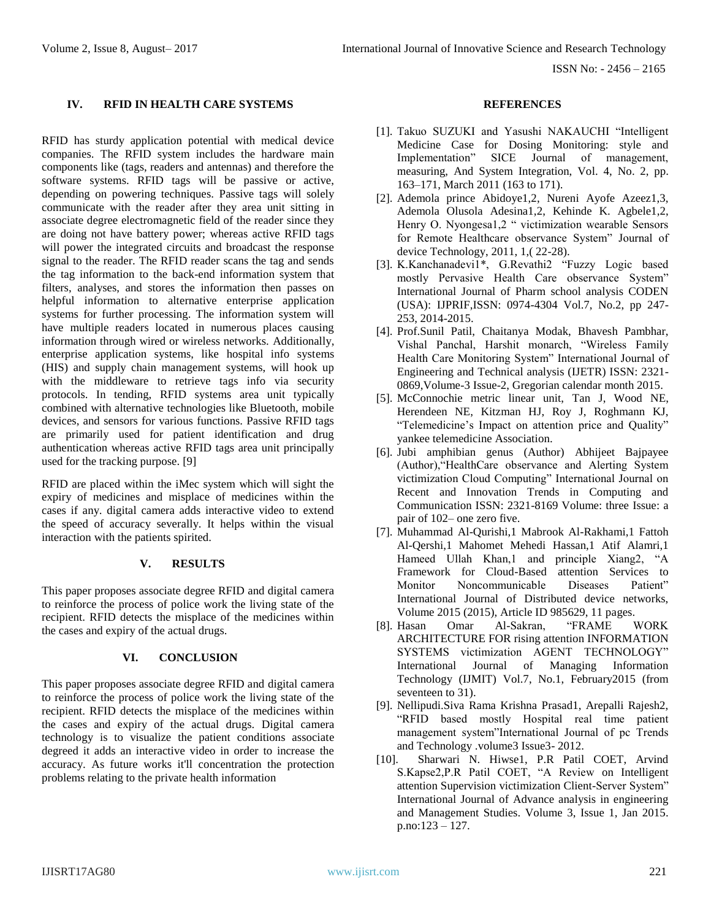ISSN No: - 2456 – 2165

# **IV. RFID IN HEALTH CARE SYSTEMS**

RFID has sturdy application potential with medical device companies. The RFID system includes the hardware main components like (tags, readers and antennas) and therefore the software systems. RFID tags will be passive or active, depending on powering techniques. Passive tags will solely communicate with the reader after they area unit sitting in associate degree electromagnetic field of the reader since they are doing not have battery power; whereas active RFID tags will power the integrated circuits and broadcast the response signal to the reader. The RFID reader scans the tag and sends the tag information to the back-end information system that filters, analyses, and stores the information then passes on helpful information to alternative enterprise application systems for further processing. The information system will have multiple readers located in numerous places causing information through wired or wireless networks. Additionally, enterprise application systems, like hospital info systems (HIS) and supply chain management systems, will hook up with the middleware to retrieve tags info via security protocols. In tending, RFID systems area unit typically combined with alternative technologies like Bluetooth, mobile devices, and sensors for various functions. Passive RFID tags are primarily used for patient identification and drug authentication whereas active RFID tags area unit principally used for the tracking purpose. [9]

RFID are placed within the iMec system which will sight the expiry of medicines and misplace of medicines within the cases if any. digital camera adds interactive video to extend the speed of accuracy severally. It helps within the visual interaction with the patients spirited.

# **V. RESULTS**

This paper proposes associate degree RFID and digital camera to reinforce the process of police work the living state of the recipient. RFID detects the misplace of the medicines within the cases and expiry of the actual drugs.

# **VI. CONCLUSION**

This paper proposes associate degree RFID and digital camera to reinforce the process of police work the living state of the recipient. RFID detects the misplace of the medicines within the cases and expiry of the actual drugs. Digital camera technology is to visualize the patient conditions associate degreed it adds an interactive video in order to increase the accuracy. As future works it'll concentration the protection problems relating to the private health information

## **REFERENCES**

- [1]. Takuo SUZUKI and Yasushi NAKAUCHI "Intelligent Medicine Case for Dosing Monitoring: style and Implementation" SICE Journal of management, measuring, And System Integration, Vol. 4, No. 2, pp. 163–171, March 2011 (163 to 171).
- [2]. Ademola prince Abidoye1,2, Nureni Ayofe Azeez1,3, Ademola Olusola Adesina1,2, Kehinde K. Agbele1,2, Henry O. Nyongesa1,2 " victimization wearable Sensors for Remote Healthcare observance System" Journal of device Technology, 2011, 1,( 22-28).
- [3]. K.Kanchanadevi1\*, G.Revathi2 "Fuzzy Logic based mostly Pervasive Health Care observance System" International Journal of Pharm school analysis CODEN (USA): IJPRIF,ISSN: 0974-4304 Vol.7, No.2, pp 247- 253, 2014-2015.
- [4]. Prof.Sunil Patil, Chaitanya Modak, Bhavesh Pambhar, Vishal Panchal, Harshit monarch, "Wireless Family Health Care Monitoring System" International Journal of Engineering and Technical analysis (IJETR) ISSN: 2321- 0869,Volume-3 Issue-2, Gregorian calendar month 2015.
- [5]. McConnochie metric linear unit, Tan J, Wood NE, Herendeen NE, Kitzman HJ, Roy J, Roghmann KJ, "Telemedicine's Impact on attention price and Quality" yankee telemedicine Association.
- [6]. Jubi amphibian genus (Author) Abhijeet Bajpayee (Author),"HealthCare observance and Alerting System victimization Cloud Computing" International Journal on Recent and Innovation Trends in Computing and Communication ISSN: 2321-8169 Volume: three Issue: a pair of 102– one zero five.
- [7]. Muhammad Al-Qurishi,1 Mabrook Al-Rakhami,1 Fattoh Al-Qershi,1 Mahomet Mehedi Hassan,1 Atif Alamri,1 Hameed Ullah Khan,1 and principle Xiang2, "A Framework for Cloud-Based attention Services to Monitor Noncommunicable Diseases Patient" International Journal of Distributed device networks, Volume 2015 (2015), Article ID 985629, 11 pages.
- [8]. Hasan Omar Al-Sakran, "FRAME WORK ARCHITECTURE FOR rising attention INFORMATION SYSTEMS victimization AGENT TECHNOLOGY" International Journal of Managing Information Technology (IJMIT) Vol.7, No.1, February2015 (from seventeen to 31).
- [9]. Nellipudi.Siva Rama Krishna Prasad1, Arepalli Rajesh2, "RFID based mostly Hospital real time patient management system"International Journal of pc Trends and Technology .volume3 Issue3- 2012.
- [10]. Sharwari N. Hiwse1, P.R Patil COET, Arvind S.Kapse2,P.R Patil COET, "A Review on Intelligent attention Supervision victimization Client-Server System" International Journal of Advance analysis in engineering and Management Studies. Volume 3, Issue 1, Jan 2015. p.no:123 – 127.